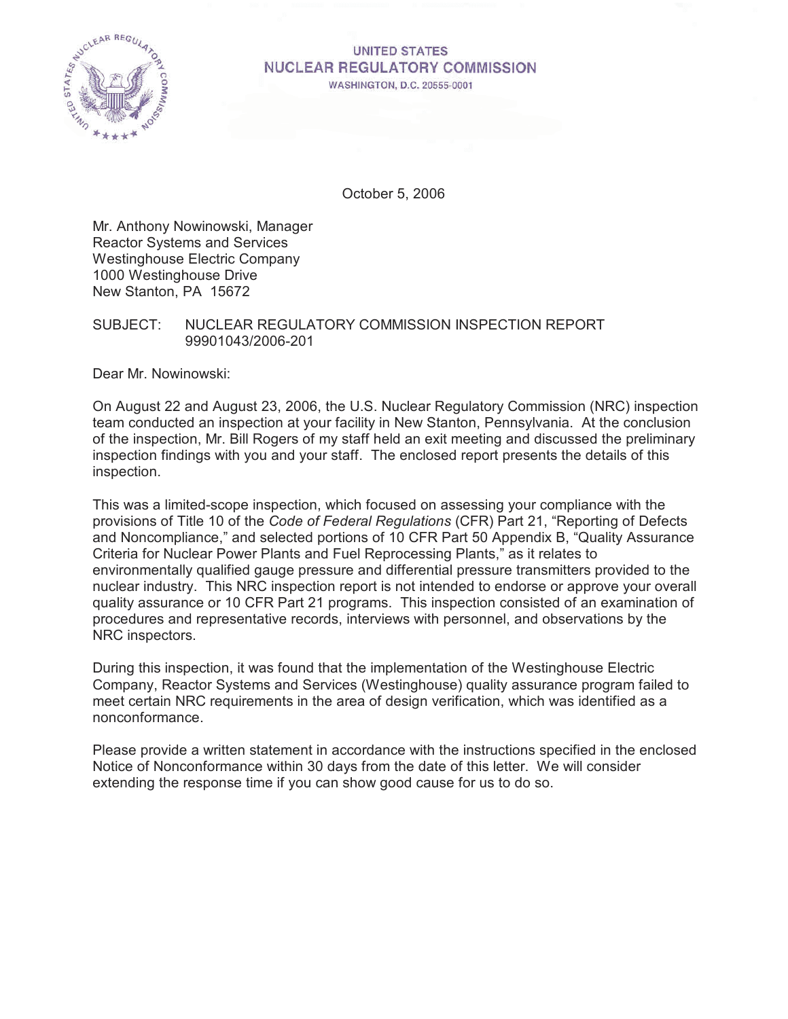

#### **UNITED STATES NUCLEAR REGULATORY COMMISSION** WASHINGTON, D.C. 20555-0001

October 5, 2006

Mr. Anthony Nowinowski, Manager Reactor Systems and Services Westinghouse Electric Company 1000 Westinghouse Drive New Stanton, PA 15672

## SUBJECT: NUCLEAR REGULATORY COMMISSION INSPECTION REPORT 99901043/2006-201

Dear Mr. Nowinowski:

On August 22 and August 23, 2006, the U.S. Nuclear Regulatory Commission (NRC) inspection team conducted an inspection at your facility in New Stanton, Pennsylvania. At the conclusion of the inspection, Mr. Bill Rogers of my staff held an exit meeting and discussed the preliminary inspection findings with you and your staff. The enclosed report presents the details of this inspection.

This was a limited-scope inspection, which focused on assessing your compliance with the provisions of Title 10 of the *Code of Federal Regulations* (CFR) Part 21, "Reporting of Defects and Noncompliance," and selected portions of 10 CFR Part 50 Appendix B, "Quality Assurance Criteria for Nuclear Power Plants and Fuel Reprocessing Plants," as it relates to environmentally qualified gauge pressure and differential pressure transmitters provided to the nuclear industry. This NRC inspection report is not intended to endorse or approve your overall quality assurance or 10 CFR Part 21 programs. This inspection consisted of an examination of procedures and representative records, interviews with personnel, and observations by the NRC inspectors.

During this inspection, it was found that the implementation of the Westinghouse Electric Company, Reactor Systems and Services (Westinghouse) quality assurance program failed to meet certain NRC requirements in the area of design verification, which was identified as a nonconformance.

Please provide a written statement in accordance with the instructions specified in the enclosed Notice of Nonconformance within 30 days from the date of this letter. We will consider extending the response time if you can show good cause for us to do so.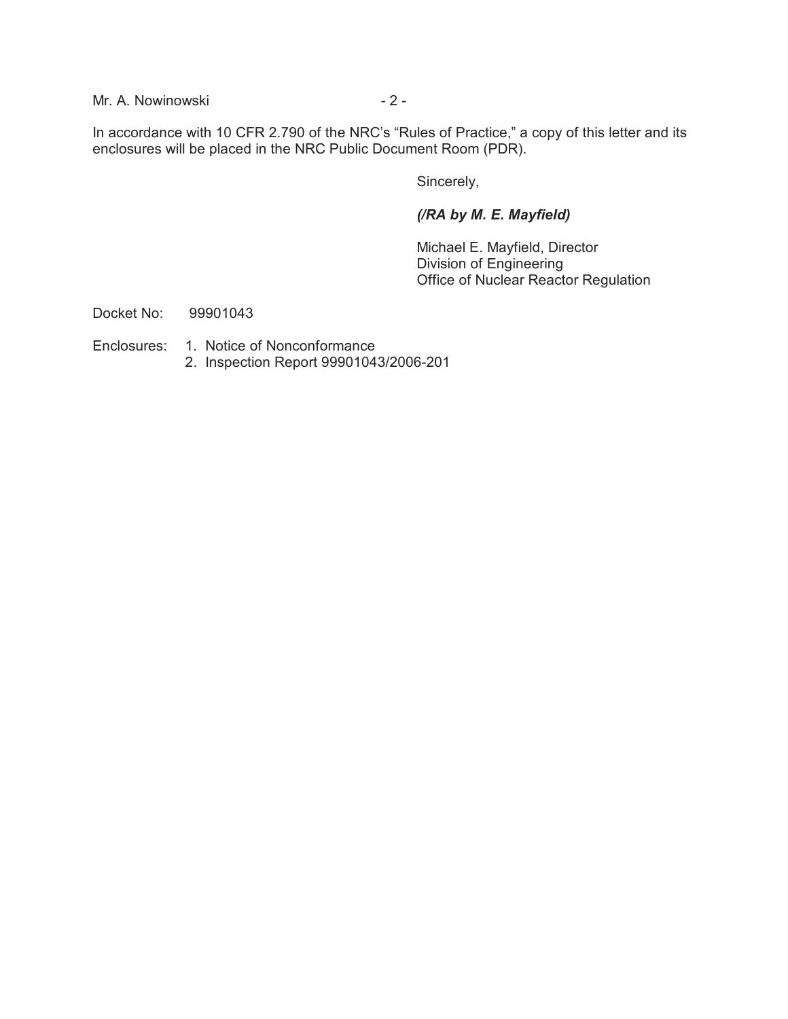Mr. A. Nowinowski **- 2 -** 2 -

In accordance with 10 CFR 2.790 of the NRC's "Rules of Practice," a copy of this letter and its enclosures will be placed in the NRC Public Document Room (PDR).

Sincerely,

## *(/RA by M. E. Mayfield)*

Michael E. Mayfield, Director Division of Engineering Office of Nuclear Reactor Regulation

Docket No: 99901043

- Enclosures: 1. Notice of Nonconformance
	- 2. Inspection Report 99901043/2006-201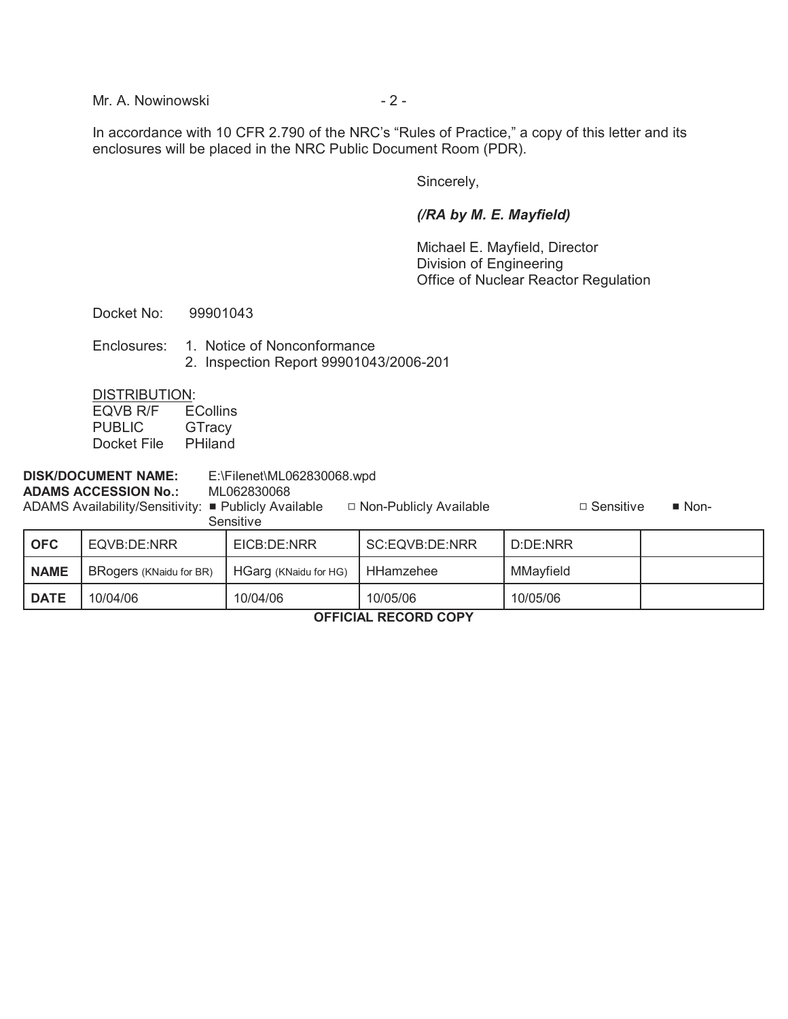In accordance with 10 CFR 2.790 of the NRC's "Rules of Practice," a copy of this letter and its enclosures will be placed in the NRC Public Document Room (PDR).

Sincerely,

## *(/RA by M. E. Mayfield)*

Michael E. Mayfield, Director Division of Engineering Office of Nuclear Reactor Regulation

Docket No: 99901043

Enclosures: 1. Notice of Nonconformance 2. Inspection Report 99901043/2006-201

**DISTRIBUTION:<br>EQVB R/F ECollins** EQVB R/F PUBLIC GTracy Docket File PHiland

**DISK/DOCUMENT NAME:** E:\Filenet\ML062830068.wpd **ADAMS ACCESSION No.:** ML062830068 ADAMS Availability/Sensitivity: **■** Publicly Available 9 Don-Publicly Available 9 Don-Publicly Available 9 Don-**Sensitive**  $\overline{a}$ 

| l OFC       | EQVB:DE:NRR             | EICB:DE:NRR           | SC:EQVB:DE:NRR   | D:DE:NRR  |  |
|-------------|-------------------------|-----------------------|------------------|-----------|--|
| <b>NAME</b> | BRogers (KNaidu for BR) | HGarg (KNaidu for HG) | <b>HHamzehee</b> | MMayfield |  |
| l DATE      | 10/04/06                | 10/04/06              | 10/05/06         | 10/05/06  |  |

**OFFICIAL RECORD COPY**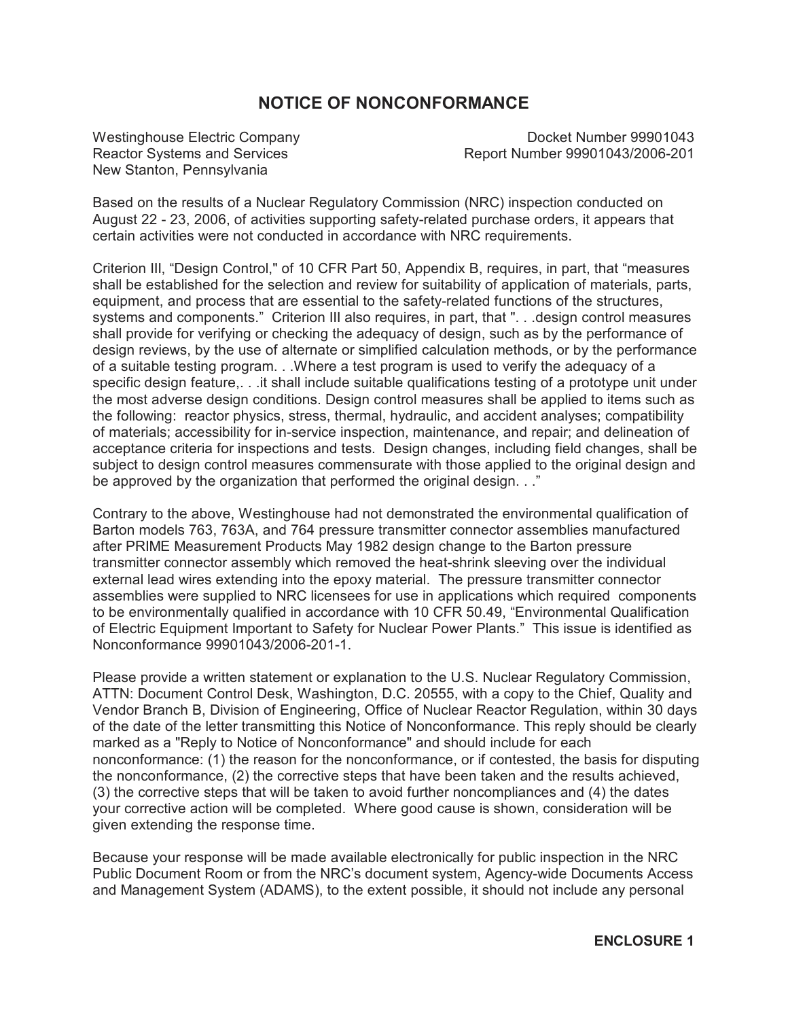## **NOTICE OF NONCONFORMANCE**

New Stanton, Pennsylvania

Westinghouse Electric Company Docket Number 99901043 Reactor Systems and Services **Report Number 99901043/2006-201** 

Based on the results of a Nuclear Regulatory Commission (NRC) inspection conducted on August 22 - 23, 2006, of activities supporting safety-related purchase orders, it appears that certain activities were not conducted in accordance with NRC requirements.

Criterion III, "Design Control," of 10 CFR Part 50, Appendix B, requires, in part, that "measures shall be established for the selection and review for suitability of application of materials, parts, equipment, and process that are essential to the safety-related functions of the structures, systems and components." Criterion III also requires, in part, that "... design control measures shall provide for verifying or checking the adequacy of design, such as by the performance of design reviews, by the use of alternate or simplified calculation methods, or by the performance of a suitable testing program. . .Where a test program is used to verify the adequacy of a specific design feature,. . .it shall include suitable qualifications testing of a prototype unit under the most adverse design conditions. Design control measures shall be applied to items such as the following: reactor physics, stress, thermal, hydraulic, and accident analyses; compatibility of materials; accessibility for in-service inspection, maintenance, and repair; and delineation of acceptance criteria for inspections and tests. Design changes, including field changes, shall be subject to design control measures commensurate with those applied to the original design and be approved by the organization that performed the original design. . ."

Contrary to the above, Westinghouse had not demonstrated the environmental qualification of Barton models 763, 763A, and 764 pressure transmitter connector assemblies manufactured after PRIME Measurement Products May 1982 design change to the Barton pressure transmitter connector assembly which removed the heat-shrink sleeving over the individual external lead wires extending into the epoxy material. The pressure transmitter connector assemblies were supplied to NRC licensees for use in applications which required components to be environmentally qualified in accordance with 10 CFR 50.49, "Environmental Qualification of Electric Equipment Important to Safety for Nuclear Power Plants." This issue is identified as Nonconformance 99901043/2006-201-1.

Please provide a written statement or explanation to the U.S. Nuclear Regulatory Commission, ATTN: Document Control Desk, Washington, D.C. 20555, with a copy to the Chief, Quality and Vendor Branch B, Division of Engineering, Office of Nuclear Reactor Regulation, within 30 days of the date of the letter transmitting this Notice of Nonconformance. This reply should be clearly marked as a "Reply to Notice of Nonconformance" and should include for each nonconformance: (1) the reason for the nonconformance, or if contested, the basis for disputing the nonconformance, (2) the corrective steps that have been taken and the results achieved, (3) the corrective steps that will be taken to avoid further noncompliances and (4) the dates your corrective action will be completed. Where good cause is shown, consideration will be given extending the response time.

Because your response will be made available electronically for public inspection in the NRC Public Document Room or from the NRC's document system, Agency-wide Documents Access and Management System (ADAMS), to the extent possible, it should not include any personal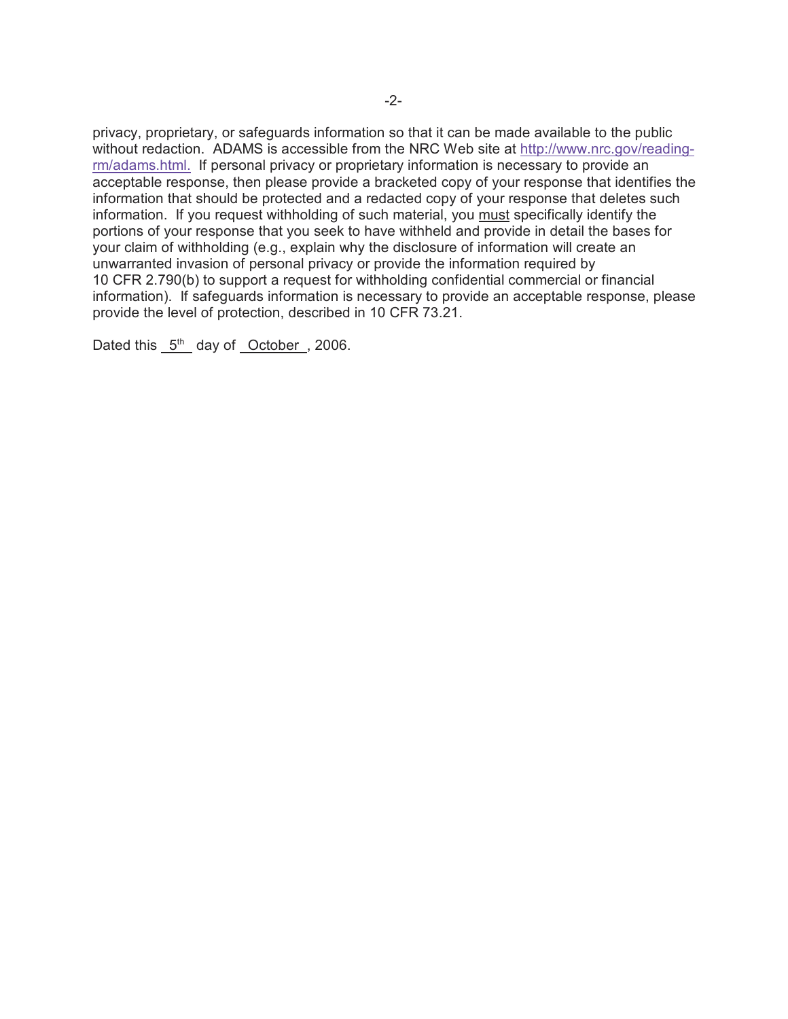privacy, proprietary, or safeguards information so that it can be made available to the public without redaction. ADAMS is accessible from the NRC Web site at http://www.nrc.gov/readingrm/adams.html. If personal privacy or proprietary information is necessary to provide an acceptable response, then please provide a bracketed copy of your response that identifies the information that should be protected and a redacted copy of your response that deletes such information. If you request withholding of such material, you must specifically identify the portions of your response that you seek to have withheld and provide in detail the bases for your claim of withholding (e.g., explain why the disclosure of information will create an unwarranted invasion of personal privacy or provide the information required by 10 CFR 2.790(b) to support a request for withholding confidential commercial or financial information). If safeguards information is necessary to provide an acceptable response, please provide the level of protection, described in 10 CFR 73.21.

Dated this  $5<sup>th</sup>$  day of October, 2006.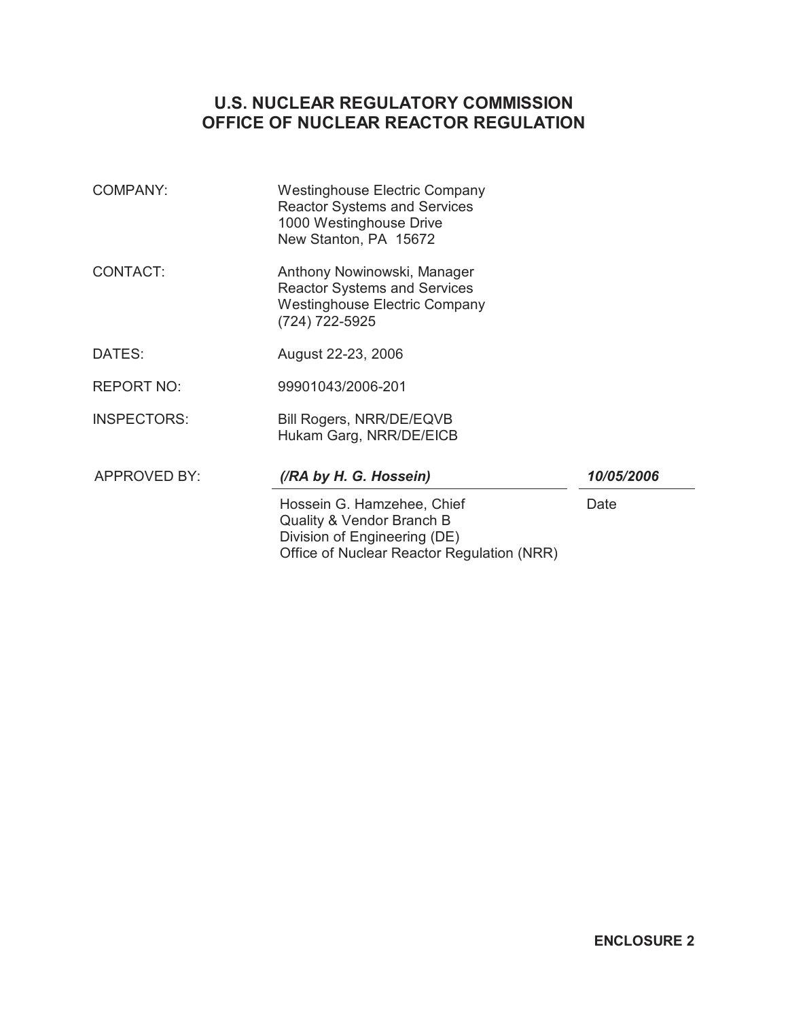# **U.S. NUCLEAR REGULATORY COMMISSION OFFICE OF NUCLEAR REACTOR REGULATION**

| <b>COMPANY:</b>     | <b>Westinghouse Electric Company</b><br><b>Reactor Systems and Services</b><br>1000 Westinghouse Drive<br>New Stanton, PA 15672       |            |  |
|---------------------|---------------------------------------------------------------------------------------------------------------------------------------|------------|--|
| CONTACT:            | Anthony Nowinowski, Manager<br><b>Reactor Systems and Services</b><br><b>Westinghouse Electric Company</b><br>(724) 722-5925          |            |  |
| DATES:              | August 22-23, 2006                                                                                                                    |            |  |
| <b>REPORT NO:</b>   | 99901043/2006-201                                                                                                                     |            |  |
| <b>INSPECTORS:</b>  | Bill Rogers, NRR/DE/EQVB<br>Hukam Garg, NRR/DE/EICB                                                                                   |            |  |
| <b>APPROVED BY:</b> | (/RA by H. G. Hossein)                                                                                                                | 10/05/2006 |  |
|                     | Hossein G. Hamzehee, Chief<br>Quality & Vendor Branch B<br>Division of Engineering (DE)<br>Office of Nuclear Reactor Regulation (NRR) | Date       |  |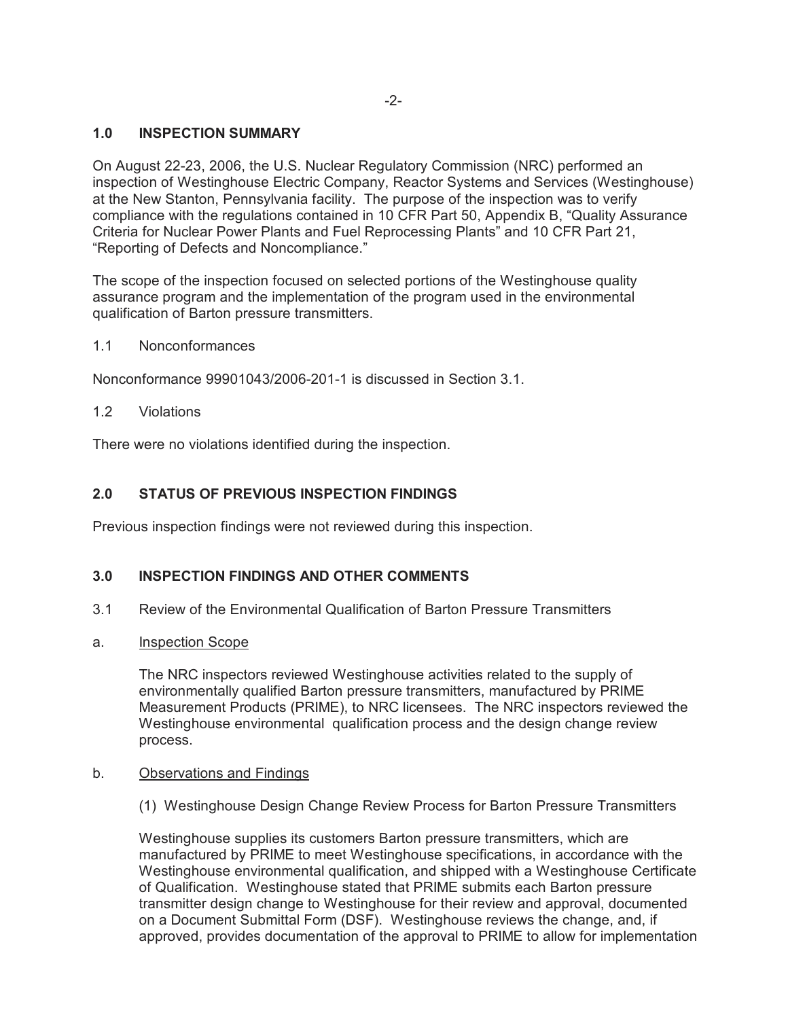## **1.0 INSPECTION SUMMARY**

On August 22-23, 2006, the U.S. Nuclear Regulatory Commission (NRC) performed an inspection of Westinghouse Electric Company, Reactor Systems and Services (Westinghouse) at the New Stanton, Pennsylvania facility. The purpose of the inspection was to verify compliance with the regulations contained in 10 CFR Part 50, Appendix B, "Quality Assurance Criteria for Nuclear Power Plants and Fuel Reprocessing Plants" and 10 CFR Part 21, "Reporting of Defects and Noncompliance."

The scope of the inspection focused on selected portions of the Westinghouse quality assurance program and the implementation of the program used in the environmental qualification of Barton pressure transmitters.

1.1 Nonconformances

Nonconformance 99901043/2006-201-1 is discussed in Section 3.1.

1.2 Violations

There were no violations identified during the inspection.

## **2.0 STATUS OF PREVIOUS INSPECTION FINDINGS**

Previous inspection findings were not reviewed during this inspection.

## **3.0 INSPECTION FINDINGS AND OTHER COMMENTS**

- 3.1 Review of the Environmental Qualification of Barton Pressure Transmitters
- a. Inspection Scope

The NRC inspectors reviewed Westinghouse activities related to the supply of environmentally qualified Barton pressure transmitters, manufactured by PRIME Measurement Products (PRIME), to NRC licensees. The NRC inspectors reviewed the Westinghouse environmental qualification process and the design change review process.

#### b. Observations and Findings

(1) Westinghouse Design Change Review Process for Barton Pressure Transmitters

Westinghouse supplies its customers Barton pressure transmitters, which are manufactured by PRIME to meet Westinghouse specifications, in accordance with the Westinghouse environmental qualification, and shipped with a Westinghouse Certificate of Qualification. Westinghouse stated that PRIME submits each Barton pressure transmitter design change to Westinghouse for their review and approval, documented on a Document Submittal Form (DSF). Westinghouse reviews the change, and, if approved, provides documentation of the approval to PRIME to allow for implementation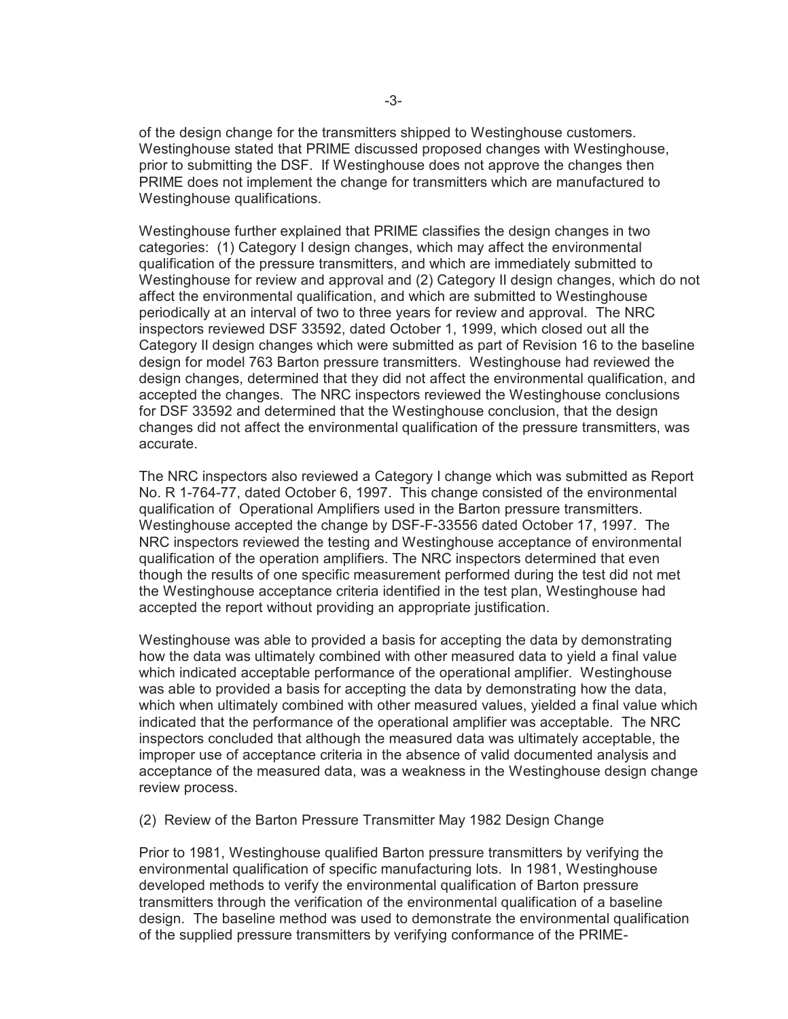of the design change for the transmitters shipped to Westinghouse customers. Westinghouse stated that PRIME discussed proposed changes with Westinghouse, prior to submitting the DSF. If Westinghouse does not approve the changes then PRIME does not implement the change for transmitters which are manufactured to Westinghouse qualifications.

Westinghouse further explained that PRIME classifies the design changes in two categories: (1) Category I design changes, which may affect the environmental qualification of the pressure transmitters, and which are immediately submitted to Westinghouse for review and approval and (2) Category II design changes, which do not affect the environmental qualification, and which are submitted to Westinghouse periodically at an interval of two to three years for review and approval. The NRC inspectors reviewed DSF 33592, dated October 1, 1999, which closed out all the Category II design changes which were submitted as part of Revision 16 to the baseline design for model 763 Barton pressure transmitters. Westinghouse had reviewed the design changes, determined that they did not affect the environmental qualification, and accepted the changes. The NRC inspectors reviewed the Westinghouse conclusions for DSF 33592 and determined that the Westinghouse conclusion, that the design changes did not affect the environmental qualification of the pressure transmitters, was accurate.

The NRC inspectors also reviewed a Category I change which was submitted as Report No. R 1-764-77, dated October 6, 1997. This change consisted of the environmental qualification of Operational Amplifiers used in the Barton pressure transmitters. Westinghouse accepted the change by DSF-F-33556 dated October 17, 1997. The NRC inspectors reviewed the testing and Westinghouse acceptance of environmental qualification of the operation amplifiers. The NRC inspectors determined that even though the results of one specific measurement performed during the test did not met the Westinghouse acceptance criteria identified in the test plan, Westinghouse had accepted the report without providing an appropriate justification.

Westinghouse was able to provided a basis for accepting the data by demonstrating how the data was ultimately combined with other measured data to yield a final value which indicated acceptable performance of the operational amplifier. Westinghouse was able to provided a basis for accepting the data by demonstrating how the data, which when ultimately combined with other measured values, yielded a final value which indicated that the performance of the operational amplifier was acceptable. The NRC inspectors concluded that although the measured data was ultimately acceptable, the improper use of acceptance criteria in the absence of valid documented analysis and acceptance of the measured data, was a weakness in the Westinghouse design change review process.

(2) Review of the Barton Pressure Transmitter May 1982 Design Change

Prior to 1981, Westinghouse qualified Barton pressure transmitters by verifying the environmental qualification of specific manufacturing lots. In 1981, Westinghouse developed methods to verify the environmental qualification of Barton pressure transmitters through the verification of the environmental qualification of a baseline design. The baseline method was used to demonstrate the environmental qualification of the supplied pressure transmitters by verifying conformance of the PRIME-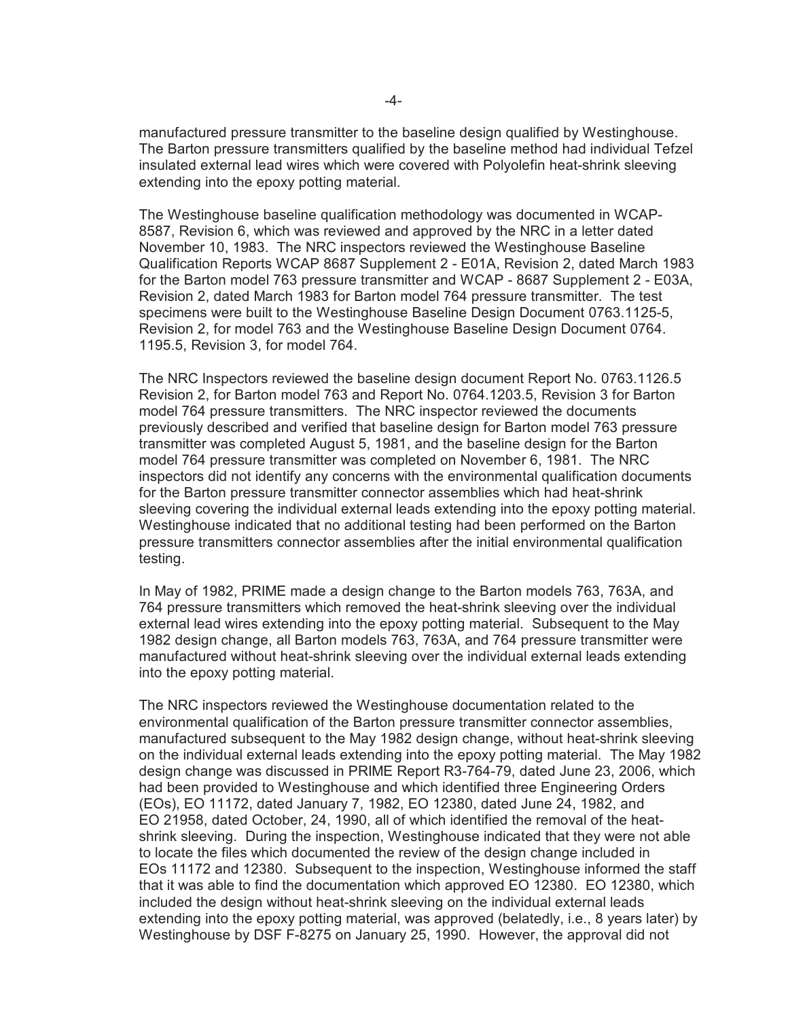manufactured pressure transmitter to the baseline design qualified by Westinghouse. The Barton pressure transmitters qualified by the baseline method had individual Tefzel insulated external lead wires which were covered with Polyolefin heat-shrink sleeving extending into the epoxy potting material.

The Westinghouse baseline qualification methodology was documented in WCAP-8587, Revision 6, which was reviewed and approved by the NRC in a letter dated November 10, 1983. The NRC inspectors reviewed the Westinghouse Baseline Qualification Reports WCAP 8687 Supplement 2 - E01A, Revision 2, dated March 1983 for the Barton model 763 pressure transmitter and WCAP - 8687 Supplement 2 - E03A, Revision 2, dated March 1983 for Barton model 764 pressure transmitter. The test specimens were built to the Westinghouse Baseline Design Document 0763.1125-5, Revision 2, for model 763 and the Westinghouse Baseline Design Document 0764. 1195.5, Revision 3, for model 764.

The NRC Inspectors reviewed the baseline design document Report No. 0763.1126.5 Revision 2, for Barton model 763 and Report No. 0764.1203.5, Revision 3 for Barton model 764 pressure transmitters. The NRC inspector reviewed the documents previously described and verified that baseline design for Barton model 763 pressure transmitter was completed August 5, 1981, and the baseline design for the Barton model 764 pressure transmitter was completed on November 6, 1981. The NRC inspectors did not identify any concerns with the environmental qualification documents for the Barton pressure transmitter connector assemblies which had heat-shrink sleeving covering the individual external leads extending into the epoxy potting material. Westinghouse indicated that no additional testing had been performed on the Barton pressure transmitters connector assemblies after the initial environmental qualification testing.

In May of 1982, PRIME made a design change to the Barton models 763, 763A, and 764 pressure transmitters which removed the heat-shrink sleeving over the individual external lead wires extending into the epoxy potting material. Subsequent to the May 1982 design change, all Barton models 763, 763A, and 764 pressure transmitter were manufactured without heat-shrink sleeving over the individual external leads extending into the epoxy potting material.

The NRC inspectors reviewed the Westinghouse documentation related to the environmental qualification of the Barton pressure transmitter connector assemblies, manufactured subsequent to the May 1982 design change, without heat-shrink sleeving on the individual external leads extending into the epoxy potting material. The May 1982 design change was discussed in PRIME Report R3-764-79, dated June 23, 2006, which had been provided to Westinghouse and which identified three Engineering Orders (EOs), EO 11172, dated January 7, 1982, EO 12380, dated June 24, 1982, and EO 21958, dated October, 24, 1990, all of which identified the removal of the heatshrink sleeving. During the inspection, Westinghouse indicated that they were not able to locate the files which documented the review of the design change included in EOs 11172 and 12380. Subsequent to the inspection, Westinghouse informed the staff that it was able to find the documentation which approved EO 12380. EO 12380, which included the design without heat-shrink sleeving on the individual external leads extending into the epoxy potting material, was approved (belatedly, i.e., 8 years later) by Westinghouse by DSF F-8275 on January 25, 1990. However, the approval did not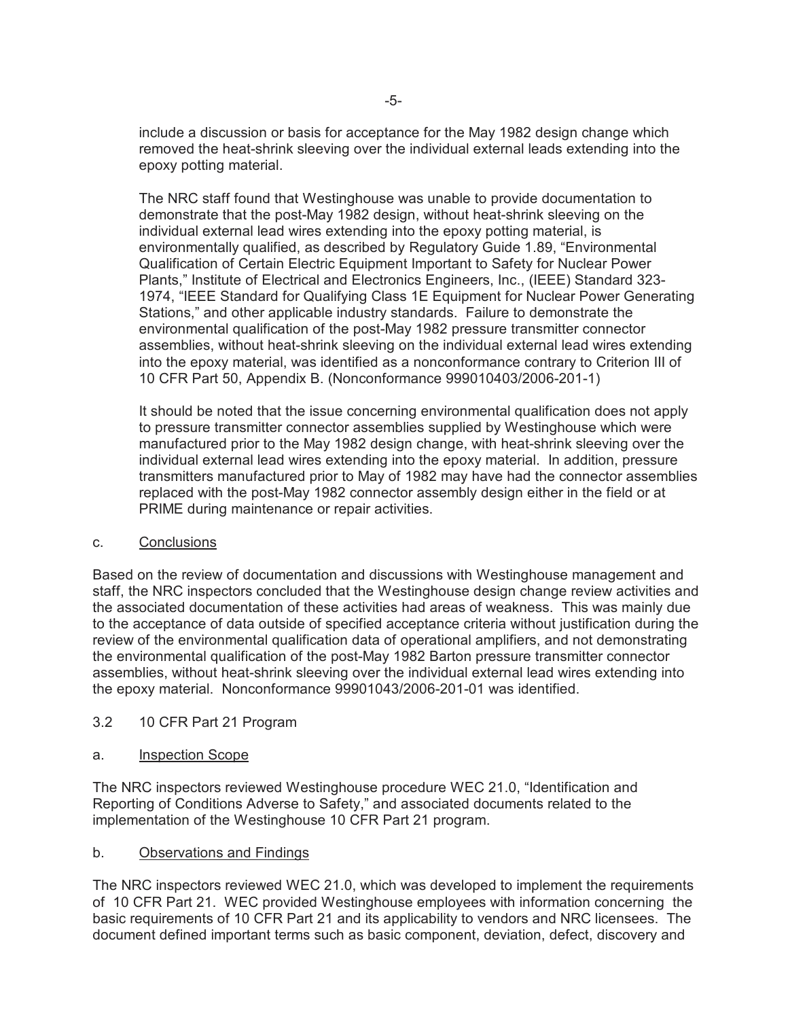include a discussion or basis for acceptance for the May 1982 design change which removed the heat-shrink sleeving over the individual external leads extending into the epoxy potting material.

The NRC staff found that Westinghouse was unable to provide documentation to demonstrate that the post-May 1982 design, without heat-shrink sleeving on the individual external lead wires extending into the epoxy potting material, is environmentally qualified, as described by Regulatory Guide 1.89, "Environmental Qualification of Certain Electric Equipment Important to Safety for Nuclear Power Plants," Institute of Electrical and Electronics Engineers, Inc., (IEEE) Standard 323- 1974, "IEEE Standard for Qualifying Class 1E Equipment for Nuclear Power Generating Stations," and other applicable industry standards. Failure to demonstrate the environmental qualification of the post-May 1982 pressure transmitter connector assemblies, without heat-shrink sleeving on the individual external lead wires extending into the epoxy material, was identified as a nonconformance contrary to Criterion III of 10 CFR Part 50, Appendix B. (Nonconformance 999010403/2006-201-1)

It should be noted that the issue concerning environmental qualification does not apply to pressure transmitter connector assemblies supplied by Westinghouse which were manufactured prior to the May 1982 design change, with heat-shrink sleeving over the individual external lead wires extending into the epoxy material. In addition, pressure transmitters manufactured prior to May of 1982 may have had the connector assemblies replaced with the post-May 1982 connector assembly design either in the field or at PRIME during maintenance or repair activities.

#### c. Conclusions

Based on the review of documentation and discussions with Westinghouse management and staff, the NRC inspectors concluded that the Westinghouse design change review activities and the associated documentation of these activities had areas of weakness. This was mainly due to the acceptance of data outside of specified acceptance criteria without justification during the review of the environmental qualification data of operational amplifiers, and not demonstrating the environmental qualification of the post-May 1982 Barton pressure transmitter connector assemblies, without heat-shrink sleeving over the individual external lead wires extending into the epoxy material. Nonconformance 99901043/2006-201-01 was identified.

## 3.2 10 CFR Part 21 Program

## a. Inspection Scope

The NRC inspectors reviewed Westinghouse procedure WEC 21.0, "Identification and Reporting of Conditions Adverse to Safety," and associated documents related to the implementation of the Westinghouse 10 CFR Part 21 program.

## b. Observations and Findings

The NRC inspectors reviewed WEC 21.0, which was developed to implement the requirements of 10 CFR Part 21. WEC provided Westinghouse employees with information concerning the basic requirements of 10 CFR Part 21 and its applicability to vendors and NRC licensees. The document defined important terms such as basic component, deviation, defect, discovery and